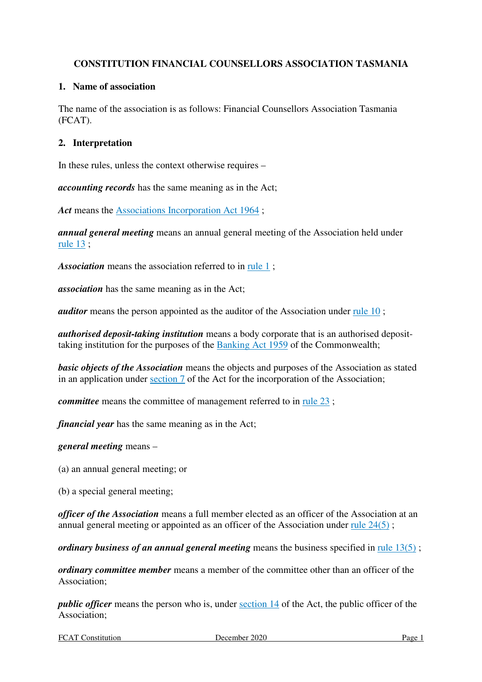# **CONSTITUTION FINANCIAL COUNSELLORS ASSOCIATION TASMANIA**

# **1. Name of association**

The name of the association is as follows: Financial Counsellors Association Tasmania (FCAT).

# **2. Interpretation**

In these rules, unless the context otherwise requires –

*accounting records* has the same meaning as in the Act;

Act means the Associations Incorporation Act 1964 :

*annual general meeting* means an annual general meeting of the Association held under rule 13 ;

*Association* means the association referred to in rule 1;

*association* has the same meaning as in the Act;

*auditor* means the person appointed as the auditor of the Association under <u>rule 10</u>;

*authorised deposit-taking institution* means a body corporate that is an authorised deposittaking institution for the purposes of the Banking Act 1959 of the Commonwealth;

*basic objects of the Association* means the objects and purposes of the Association as stated in an application under section 7 of the Act for the incorporation of the Association;

*committee* means the committee of management referred to in rule 23;

*financial year* has the same meaning as in the Act;

*general meeting* means –

(a) an annual general meeting; or

(b) a special general meeting;

*officer of the Association* means a full member elected as an officer of the Association at an annual general meeting or appointed as an officer of the Association under rule 24(5) ;

*ordinary business of an annual general meeting* means the business specified in rule 13(5) ;

*ordinary committee member* means a member of the committee other than an officer of the Association;

*public officer* means the person who is, under section 14 of the Act, the public officer of the Association;

FCAT Constitution December 2020 Page 1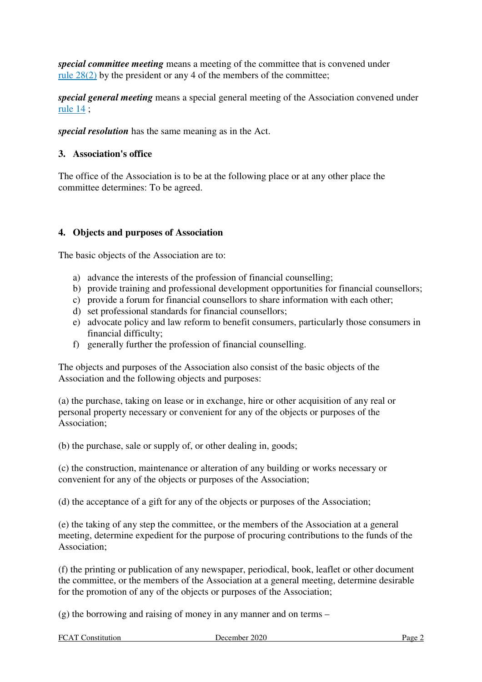*special committee meeting* means a meeting of the committee that is convened under rule 28(2) by the president or any 4 of the members of the committee;

*special general meeting* means a special general meeting of the Association convened under rule 14 ;

*special resolution* has the same meaning as in the Act.

#### **3. Association's office**

The office of the Association is to be at the following place or at any other place the committee determines: To be agreed.

#### **4. Objects and purposes of Association**

The basic objects of the Association are to:

- a) advance the interests of the profession of financial counselling;
- b) provide training and professional development opportunities for financial counsellors;
- c) provide a forum for financial counsellors to share information with each other;
- d) set professional standards for financial counsellors;
- e) advocate policy and law reform to benefit consumers, particularly those consumers in financial difficulty;
- f) generally further the profession of financial counselling.

The objects and purposes of the Association also consist of the basic objects of the Association and the following objects and purposes:

(a) the purchase, taking on lease or in exchange, hire or other acquisition of any real or personal property necessary or convenient for any of the objects or purposes of the Association;

(b) the purchase, sale or supply of, or other dealing in, goods;

(c) the construction, maintenance or alteration of any building or works necessary or convenient for any of the objects or purposes of the Association;

(d) the acceptance of a gift for any of the objects or purposes of the Association;

(e) the taking of any step the committee, or the members of the Association at a general meeting, determine expedient for the purpose of procuring contributions to the funds of the Association;

(f) the printing or publication of any newspaper, periodical, book, leaflet or other document the committee, or the members of the Association at a general meeting, determine desirable for the promotion of any of the objects or purposes of the Association;

(g) the borrowing and raising of money in any manner and on terms –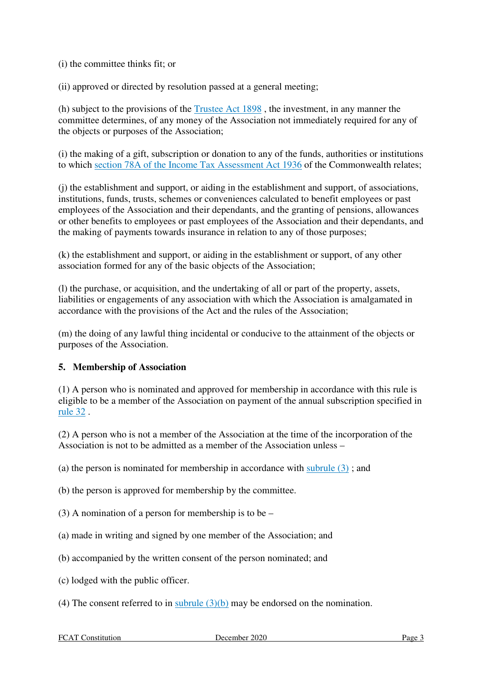(i) the committee thinks fit; or

(ii) approved or directed by resolution passed at a general meeting;

(h) subject to the provisions of the Trustee Act 1898 , the investment, in any manner the committee determines, of any money of the Association not immediately required for any of the objects or purposes of the Association;

(i) the making of a gift, subscription or donation to any of the funds, authorities or institutions to which section 78A of the Income Tax Assessment Act 1936 of the Commonwealth relates;

(j) the establishment and support, or aiding in the establishment and support, of associations, institutions, funds, trusts, schemes or conveniences calculated to benefit employees or past employees of the Association and their dependants, and the granting of pensions, allowances or other benefits to employees or past employees of the Association and their dependants, and the making of payments towards insurance in relation to any of those purposes;

(k) the establishment and support, or aiding in the establishment or support, of any other association formed for any of the basic objects of the Association;

(l) the purchase, or acquisition, and the undertaking of all or part of the property, assets, liabilities or engagements of any association with which the Association is amalgamated in accordance with the provisions of the Act and the rules of the Association;

(m) the doing of any lawful thing incidental or conducive to the attainment of the objects or purposes of the Association.

# **5. Membership of Association**

(1) A person who is nominated and approved for membership in accordance with this rule is eligible to be a member of the Association on payment of the annual subscription specified in rule 32 .

(2) A person who is not a member of the Association at the time of the incorporation of the Association is not to be admitted as a member of the Association unless –

(a) the person is nominated for membership in accordance with subrule (3) ; and

(b) the person is approved for membership by the committee.

(3) A nomination of a person for membership is to be –

(a) made in writing and signed by one member of the Association; and

(b) accompanied by the written consent of the person nominated; and

- (c) lodged with the public officer.
- (4) The consent referred to in subrule  $(3)(b)$  may be endorsed on the nomination.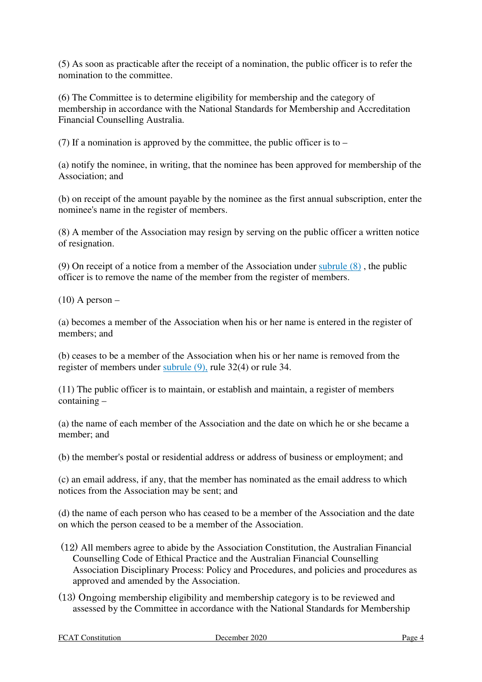(5) As soon as practicable after the receipt of a nomination, the public officer is to refer the nomination to the committee.

(6) The Committee is to determine eligibility for membership and the category of membership in accordance with the National Standards for Membership and Accreditation Financial Counselling Australia.

(7) If a nomination is approved by the committee, the public officer is to –

(a) notify the nominee, in writing, that the nominee has been approved for membership of the Association; and

(b) on receipt of the amount payable by the nominee as the first annual subscription, enter the nominee's name in the register of members.

(8) A member of the Association may resign by serving on the public officer a written notice of resignation.

(9) On receipt of a notice from a member of the Association under subrule (8) , the public officer is to remove the name of the member from the register of members.

 $(10)$  A person –

(a) becomes a member of the Association when his or her name is entered in the register of members; and

(b) ceases to be a member of the Association when his or her name is removed from the register of members under subrule (9), rule 32(4) or rule 34.

(11) The public officer is to maintain, or establish and maintain, a register of members containing –

(a) the name of each member of the Association and the date on which he or she became a member; and

(b) the member's postal or residential address or address of business or employment; and

(c) an email address, if any, that the member has nominated as the email address to which notices from the Association may be sent; and

(d) the name of each person who has ceased to be a member of the Association and the date on which the person ceased to be a member of the Association.

- (12) All members agree to abide by the Association Constitution, the Australian Financial Counselling Code of Ethical Practice and the Australian Financial Counselling Association Disciplinary Process: Policy and Procedures, and policies and procedures as approved and amended by the Association.
- (13) Ongoing membership eligibility and membership category is to be reviewed and assessed by the Committee in accordance with the National Standards for Membership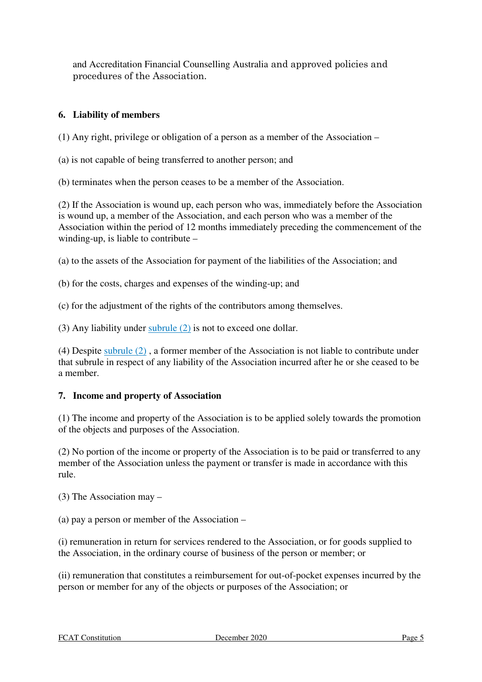and Accreditation Financial Counselling Australia and approved policies and procedures of the Association.

# **6. Liability of members**

(1) Any right, privilege or obligation of a person as a member of the Association –

(a) is not capable of being transferred to another person; and

(b) terminates when the person ceases to be a member of the Association.

(2) If the Association is wound up, each person who was, immediately before the Association is wound up, a member of the Association, and each person who was a member of the Association within the period of 12 months immediately preceding the commencement of the winding-up, is liable to contribute –

(a) to the assets of the Association for payment of the liabilities of the Association; and

(b) for the costs, charges and expenses of the winding-up; and

(c) for the adjustment of the rights of the contributors among themselves.

(3) Any liability under subrule (2) is not to exceed one dollar.

(4) Despite subrule (2) , a former member of the Association is not liable to contribute under that subrule in respect of any liability of the Association incurred after he or she ceased to be a member.

# **7. Income and property of Association**

(1) The income and property of the Association is to be applied solely towards the promotion of the objects and purposes of the Association.

(2) No portion of the income or property of the Association is to be paid or transferred to any member of the Association unless the payment or transfer is made in accordance with this rule.

(3) The Association may –

(a) pay a person or member of the Association –

(i) remuneration in return for services rendered to the Association, or for goods supplied to the Association, in the ordinary course of business of the person or member; or

(ii) remuneration that constitutes a reimbursement for out-of-pocket expenses incurred by the person or member for any of the objects or purposes of the Association; or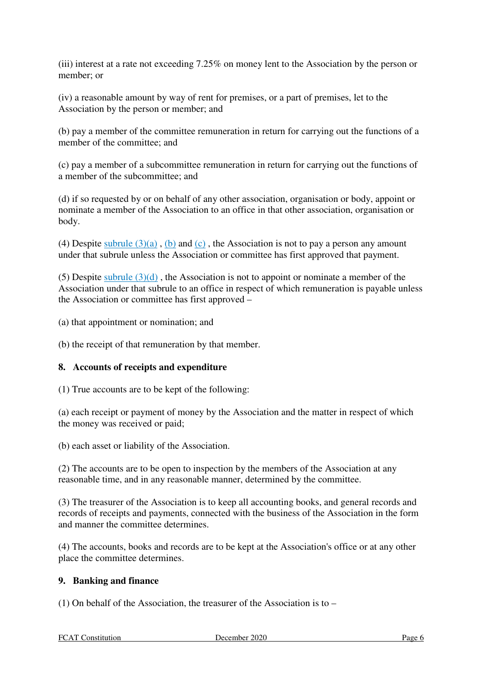(iii) interest at a rate not exceeding 7.25% on money lent to the Association by the person or member; or

(iv) a reasonable amount by way of rent for premises, or a part of premises, let to the Association by the person or member; and

(b) pay a member of the committee remuneration in return for carrying out the functions of a member of the committee; and

(c) pay a member of a subcommittee remuneration in return for carrying out the functions of a member of the subcommittee; and

(d) if so requested by or on behalf of any other association, organisation or body, appoint or nominate a member of the Association to an office in that other association, organisation or body.

(4) Despite subrule  $(3)(a)$ ,  $(b)$  and  $(c)$ , the Association is not to pay a person any amount under that subrule unless the Association or committee has first approved that payment.

(5) Despite subrule  $(3)(d)$ , the Association is not to appoint or nominate a member of the Association under that subrule to an office in respect of which remuneration is payable unless the Association or committee has first approved –

(a) that appointment or nomination; and

(b) the receipt of that remuneration by that member.

# **8. Accounts of receipts and expenditure**

(1) True accounts are to be kept of the following:

(a) each receipt or payment of money by the Association and the matter in respect of which the money was received or paid;

(b) each asset or liability of the Association.

(2) The accounts are to be open to inspection by the members of the Association at any reasonable time, and in any reasonable manner, determined by the committee.

(3) The treasurer of the Association is to keep all accounting books, and general records and records of receipts and payments, connected with the business of the Association in the form and manner the committee determines.

(4) The accounts, books and records are to be kept at the Association's office or at any other place the committee determines.

# **9. Banking and finance**

(1) On behalf of the Association, the treasurer of the Association is to –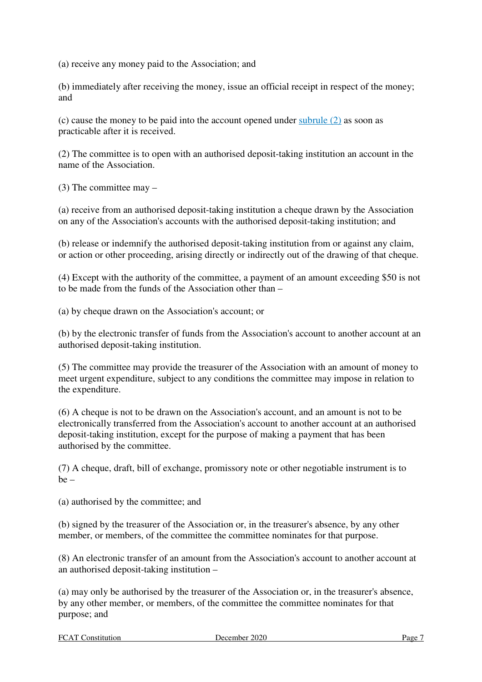(a) receive any money paid to the Association; and

(b) immediately after receiving the money, issue an official receipt in respect of the money; and

(c) cause the money to be paid into the account opened under subrule (2) as soon as practicable after it is received.

(2) The committee is to open with an authorised deposit-taking institution an account in the name of the Association.

(3) The committee may –

(a) receive from an authorised deposit-taking institution a cheque drawn by the Association on any of the Association's accounts with the authorised deposit-taking institution; and

(b) release or indemnify the authorised deposit-taking institution from or against any claim, or action or other proceeding, arising directly or indirectly out of the drawing of that cheque.

(4) Except with the authority of the committee, a payment of an amount exceeding \$50 is not to be made from the funds of the Association other than –

(a) by cheque drawn on the Association's account; or

(b) by the electronic transfer of funds from the Association's account to another account at an authorised deposit-taking institution.

(5) The committee may provide the treasurer of the Association with an amount of money to meet urgent expenditure, subject to any conditions the committee may impose in relation to the expenditure.

(6) A cheque is not to be drawn on the Association's account, and an amount is not to be electronically transferred from the Association's account to another account at an authorised deposit-taking institution, except for the purpose of making a payment that has been authorised by the committee.

(7) A cheque, draft, bill of exchange, promissory note or other negotiable instrument is to  $be -$ 

(a) authorised by the committee; and

(b) signed by the treasurer of the Association or, in the treasurer's absence, by any other member, or members, of the committee the committee nominates for that purpose.

(8) An electronic transfer of an amount from the Association's account to another account at an authorised deposit-taking institution –

(a) may only be authorised by the treasurer of the Association or, in the treasurer's absence, by any other member, or members, of the committee the committee nominates for that purpose; and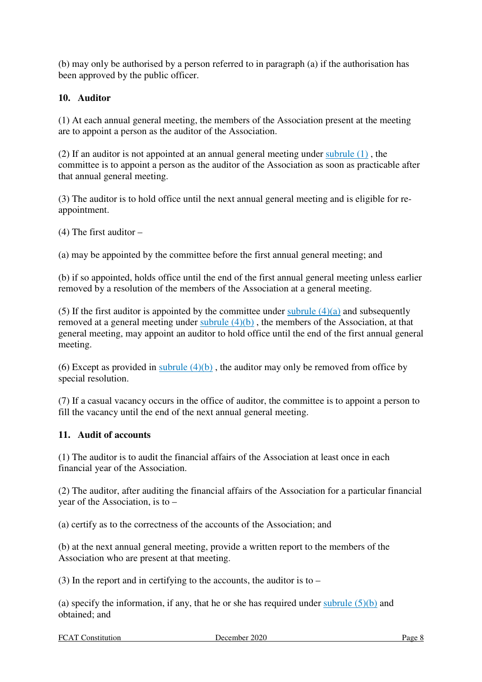(b) may only be authorised by a person referred to in paragraph (a) if the authorisation has been approved by the public officer.

# **10. Auditor**

(1) At each annual general meeting, the members of the Association present at the meeting are to appoint a person as the auditor of the Association.

(2) If an auditor is not appointed at an annual general meeting under subrule (1) , the committee is to appoint a person as the auditor of the Association as soon as practicable after that annual general meeting.

(3) The auditor is to hold office until the next annual general meeting and is eligible for reappointment.

(4) The first auditor –

(a) may be appointed by the committee before the first annual general meeting; and

(b) if so appointed, holds office until the end of the first annual general meeting unless earlier removed by a resolution of the members of the Association at a general meeting.

(5) If the first auditor is appointed by the committee under subrule  $(4)(a)$  and subsequently removed at a general meeting under subrule  $(4)(b)$ , the members of the Association, at that general meeting, may appoint an auditor to hold office until the end of the first annual general meeting.

(6) Except as provided in subrule  $(4)(b)$ , the auditor may only be removed from office by special resolution.

(7) If a casual vacancy occurs in the office of auditor, the committee is to appoint a person to fill the vacancy until the end of the next annual general meeting.

# **11. Audit of accounts**

(1) The auditor is to audit the financial affairs of the Association at least once in each financial year of the Association.

(2) The auditor, after auditing the financial affairs of the Association for a particular financial year of the Association, is to –

(a) certify as to the correctness of the accounts of the Association; and

(b) at the next annual general meeting, provide a written report to the members of the Association who are present at that meeting.

(3) In the report and in certifying to the accounts, the auditor is to –

(a) specify the information, if any, that he or she has required under subrule  $(5)(b)$  and obtained; and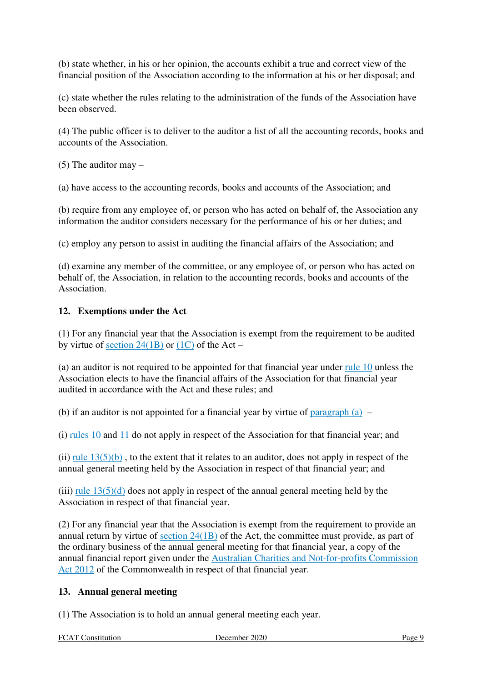(b) state whether, in his or her opinion, the accounts exhibit a true and correct view of the financial position of the Association according to the information at his or her disposal; and

(c) state whether the rules relating to the administration of the funds of the Association have been observed.

(4) The public officer is to deliver to the auditor a list of all the accounting records, books and accounts of the Association.

(5) The auditor may –

(a) have access to the accounting records, books and accounts of the Association; and

(b) require from any employee of, or person who has acted on behalf of, the Association any information the auditor considers necessary for the performance of his or her duties; and

(c) employ any person to assist in auditing the financial affairs of the Association; and

(d) examine any member of the committee, or any employee of, or person who has acted on behalf of, the Association, in relation to the accounting records, books and accounts of the Association.

#### **12. Exemptions under the Act**

(1) For any financial year that the Association is exempt from the requirement to be audited by virtue of section  $24(1B)$  or  $(1C)$  of the Act –

(a) an auditor is not required to be appointed for that financial year under rule 10 unless the Association elects to have the financial affairs of the Association for that financial year audited in accordance with the Act and these rules; and

(b) if an auditor is not appointed for a financial year by virtue of paragraph  $(a)$  –

(i) rules 10 and 11 do not apply in respect of the Association for that financial year; and

(ii) rule  $13(5)(b)$ , to the extent that it relates to an auditor, does not apply in respect of the annual general meeting held by the Association in respect of that financial year; and

(iii)  $\frac{\text{rule }13(5)(d)}{\text{rule }13(5)(d)}$  does not apply in respect of the annual general meeting held by the Association in respect of that financial year.

(2) For any financial year that the Association is exempt from the requirement to provide an annual return by virtue of section 24(1B) of the Act, the committee must provide, as part of the ordinary business of the annual general meeting for that financial year, a copy of the annual financial report given under the Australian Charities and Not-for-profits Commission Act 2012 of the Commonwealth in respect of that financial year.

# **13. Annual general meeting**

(1) The Association is to hold an annual general meeting each year.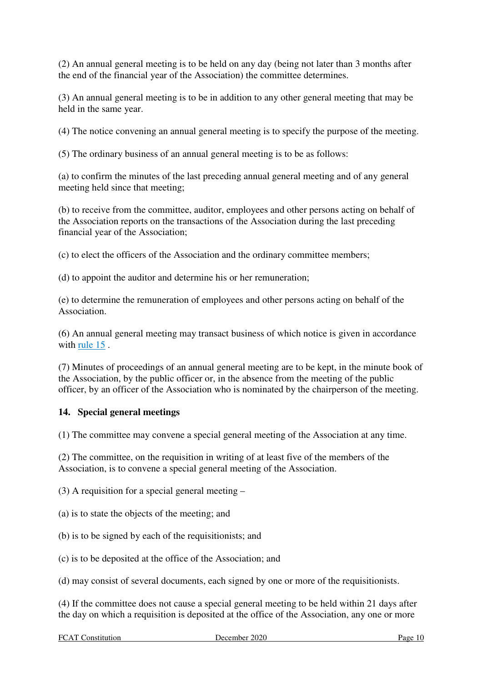(2) An annual general meeting is to be held on any day (being not later than 3 months after the end of the financial year of the Association) the committee determines.

(3) An annual general meeting is to be in addition to any other general meeting that may be held in the same year.

(4) The notice convening an annual general meeting is to specify the purpose of the meeting.

(5) The ordinary business of an annual general meeting is to be as follows:

(a) to confirm the minutes of the last preceding annual general meeting and of any general meeting held since that meeting;

(b) to receive from the committee, auditor, employees and other persons acting on behalf of the Association reports on the transactions of the Association during the last preceding financial year of the Association;

(c) to elect the officers of the Association and the ordinary committee members;

(d) to appoint the auditor and determine his or her remuneration;

(e) to determine the remuneration of employees and other persons acting on behalf of the Association.

(6) An annual general meeting may transact business of which notice is given in accordance with rule 15 .

(7) Minutes of proceedings of an annual general meeting are to be kept, in the minute book of the Association, by the public officer or, in the absence from the meeting of the public officer, by an officer of the Association who is nominated by the chairperson of the meeting.

# **14. Special general meetings**

(1) The committee may convene a special general meeting of the Association at any time.

(2) The committee, on the requisition in writing of at least five of the members of the Association, is to convene a special general meeting of the Association.

(3) A requisition for a special general meeting –

(a) is to state the objects of the meeting; and

(b) is to be signed by each of the requisitionists; and

(c) is to be deposited at the office of the Association; and

(d) may consist of several documents, each signed by one or more of the requisitionists.

(4) If the committee does not cause a special general meeting to be held within 21 days after the day on which a requisition is deposited at the office of the Association, any one or more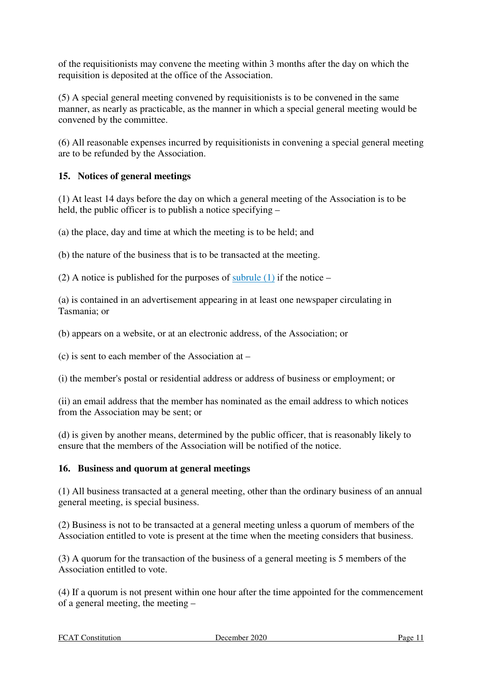of the requisitionists may convene the meeting within 3 months after the day on which the requisition is deposited at the office of the Association.

(5) A special general meeting convened by requisitionists is to be convened in the same manner, as nearly as practicable, as the manner in which a special general meeting would be convened by the committee.

(6) All reasonable expenses incurred by requisitionists in convening a special general meeting are to be refunded by the Association.

# **15. Notices of general meetings**

(1) At least 14 days before the day on which a general meeting of the Association is to be held, the public officer is to publish a notice specifying –

(a) the place, day and time at which the meeting is to be held; and

(b) the nature of the business that is to be transacted at the meeting.

(2) A notice is published for the purposes of subrule  $(1)$  if the notice –

(a) is contained in an advertisement appearing in at least one newspaper circulating in Tasmania; or

(b) appears on a website, or at an electronic address, of the Association; or

(c) is sent to each member of the Association at –

(i) the member's postal or residential address or address of business or employment; or

(ii) an email address that the member has nominated as the email address to which notices from the Association may be sent; or

(d) is given by another means, determined by the public officer, that is reasonably likely to ensure that the members of the Association will be notified of the notice.

#### **16. Business and quorum at general meetings**

(1) All business transacted at a general meeting, other than the ordinary business of an annual general meeting, is special business.

(2) Business is not to be transacted at a general meeting unless a quorum of members of the Association entitled to vote is present at the time when the meeting considers that business.

(3) A quorum for the transaction of the business of a general meeting is 5 members of the Association entitled to vote.

(4) If a quorum is not present within one hour after the time appointed for the commencement of a general meeting, the meeting –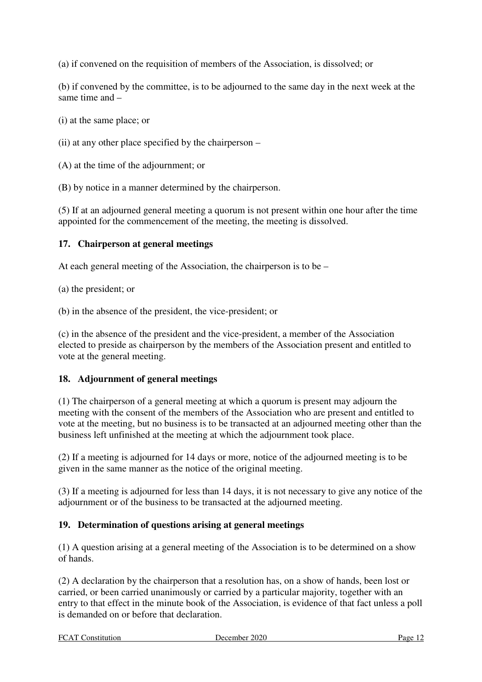(a) if convened on the requisition of members of the Association, is dissolved; or

(b) if convened by the committee, is to be adjourned to the same day in the next week at the same time and –

(i) at the same place; or

(ii) at any other place specified by the chairperson –

(A) at the time of the adjournment; or

(B) by notice in a manner determined by the chairperson.

(5) If at an adjourned general meeting a quorum is not present within one hour after the time appointed for the commencement of the meeting, the meeting is dissolved.

#### **17. Chairperson at general meetings**

At each general meeting of the Association, the chairperson is to be –

(a) the president; or

(b) in the absence of the president, the vice-president; or

(c) in the absence of the president and the vice-president, a member of the Association elected to preside as chairperson by the members of the Association present and entitled to vote at the general meeting.

#### **18. Adjournment of general meetings**

(1) The chairperson of a general meeting at which a quorum is present may adjourn the meeting with the consent of the members of the Association who are present and entitled to vote at the meeting, but no business is to be transacted at an adjourned meeting other than the business left unfinished at the meeting at which the adjournment took place.

(2) If a meeting is adjourned for 14 days or more, notice of the adjourned meeting is to be given in the same manner as the notice of the original meeting.

(3) If a meeting is adjourned for less than 14 days, it is not necessary to give any notice of the adjournment or of the business to be transacted at the adjourned meeting.

# **19. Determination of questions arising at general meetings**

(1) A question arising at a general meeting of the Association is to be determined on a show of hands.

(2) A declaration by the chairperson that a resolution has, on a show of hands, been lost or carried, or been carried unanimously or carried by a particular majority, together with an entry to that effect in the minute book of the Association, is evidence of that fact unless a poll is demanded on or before that declaration.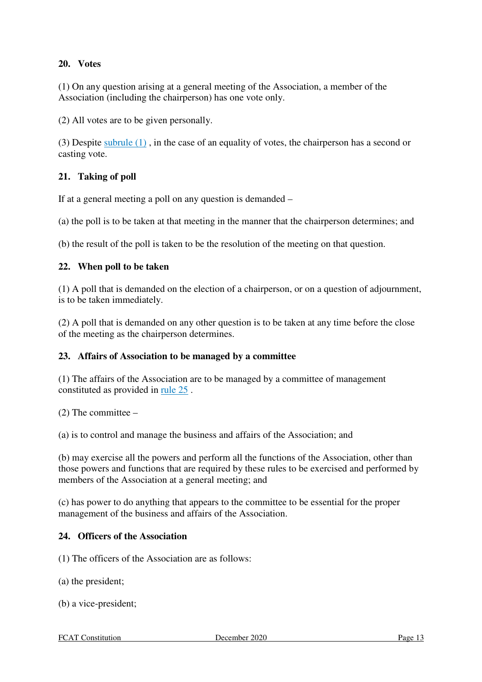# **20. Votes**

(1) On any question arising at a general meeting of the Association, a member of the Association (including the chairperson) has one vote only.

(2) All votes are to be given personally.

(3) Despite subrule (1) , in the case of an equality of votes, the chairperson has a second or casting vote.

#### **21. Taking of poll**

If at a general meeting a poll on any question is demanded –

(a) the poll is to be taken at that meeting in the manner that the chairperson determines; and

(b) the result of the poll is taken to be the resolution of the meeting on that question.

#### **22. When poll to be taken**

(1) A poll that is demanded on the election of a chairperson, or on a question of adjournment, is to be taken immediately.

(2) A poll that is demanded on any other question is to be taken at any time before the close of the meeting as the chairperson determines.

#### **23. Affairs of Association to be managed by a committee**

(1) The affairs of the Association are to be managed by a committee of management constituted as provided in rule 25 .

 $(2)$  The committee –

(a) is to control and manage the business and affairs of the Association; and

(b) may exercise all the powers and perform all the functions of the Association, other than those powers and functions that are required by these rules to be exercised and performed by members of the Association at a general meeting; and

(c) has power to do anything that appears to the committee to be essential for the proper management of the business and affairs of the Association.

#### **24. Officers of the Association**

(1) The officers of the Association are as follows:

- (a) the president;
- (b) a vice-president;

FCAT Constitution December 2020 Page 13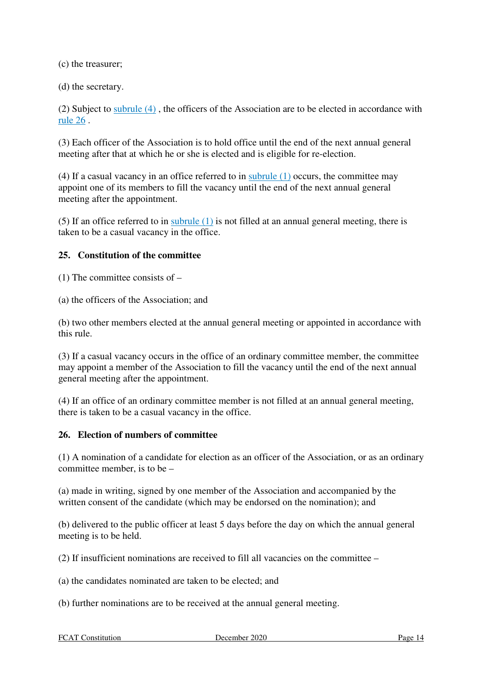(c) the treasurer;

(d) the secretary.

(2) Subject to subrule (4) , the officers of the Association are to be elected in accordance with rule 26 .

(3) Each officer of the Association is to hold office until the end of the next annual general meeting after that at which he or she is elected and is eligible for re-election.

(4) If a casual vacancy in an office referred to in subrule (1) occurs, the committee may appoint one of its members to fill the vacancy until the end of the next annual general meeting after the appointment.

(5) If an office referred to in subrule (1) is not filled at an annual general meeting, there is taken to be a casual vacancy in the office.

#### **25. Constitution of the committee**

 $(1)$  The committee consists of  $-$ 

(a) the officers of the Association; and

(b) two other members elected at the annual general meeting or appointed in accordance with this rule.

(3) If a casual vacancy occurs in the office of an ordinary committee member, the committee may appoint a member of the Association to fill the vacancy until the end of the next annual general meeting after the appointment.

(4) If an office of an ordinary committee member is not filled at an annual general meeting, there is taken to be a casual vacancy in the office.

#### **26. Election of numbers of committee**

(1) A nomination of a candidate for election as an officer of the Association, or as an ordinary committee member, is to be –

(a) made in writing, signed by one member of the Association and accompanied by the written consent of the candidate (which may be endorsed on the nomination); and

(b) delivered to the public officer at least 5 days before the day on which the annual general meeting is to be held.

(2) If insufficient nominations are received to fill all vacancies on the committee –

(a) the candidates nominated are taken to be elected; and

(b) further nominations are to be received at the annual general meeting.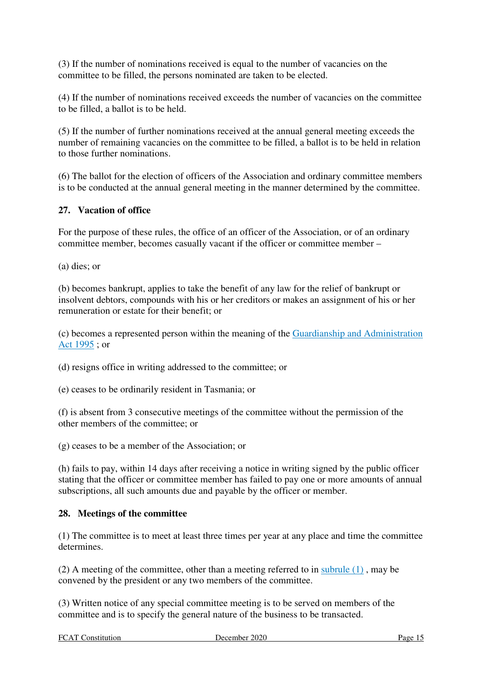(3) If the number of nominations received is equal to the number of vacancies on the committee to be filled, the persons nominated are taken to be elected.

(4) If the number of nominations received exceeds the number of vacancies on the committee to be filled, a ballot is to be held.

(5) If the number of further nominations received at the annual general meeting exceeds the number of remaining vacancies on the committee to be filled, a ballot is to be held in relation to those further nominations.

(6) The ballot for the election of officers of the Association and ordinary committee members is to be conducted at the annual general meeting in the manner determined by the committee.

#### **27. Vacation of office**

For the purpose of these rules, the office of an officer of the Association, or of an ordinary committee member, becomes casually vacant if the officer or committee member –

(a) dies; or

(b) becomes bankrupt, applies to take the benefit of any law for the relief of bankrupt or insolvent debtors, compounds with his or her creditors or makes an assignment of his or her remuneration or estate for their benefit; or

(c) becomes a represented person within the meaning of the Guardianship and Administration Act 1995 ; or

(d) resigns office in writing addressed to the committee; or

(e) ceases to be ordinarily resident in Tasmania; or

(f) is absent from 3 consecutive meetings of the committee without the permission of the other members of the committee; or

(g) ceases to be a member of the Association; or

(h) fails to pay, within 14 days after receiving a notice in writing signed by the public officer stating that the officer or committee member has failed to pay one or more amounts of annual subscriptions, all such amounts due and payable by the officer or member.

#### **28. Meetings of the committee**

(1) The committee is to meet at least three times per year at any place and time the committee determines.

(2) A meeting of the committee, other than a meeting referred to in subrule (1) , may be convened by the president or any two members of the committee.

(3) Written notice of any special committee meeting is to be served on members of the committee and is to specify the general nature of the business to be transacted.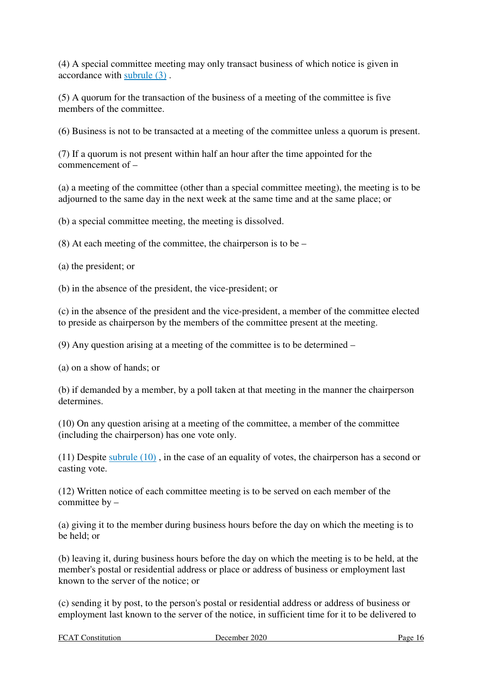(4) A special committee meeting may only transact business of which notice is given in accordance with subrule (3) .

(5) A quorum for the transaction of the business of a meeting of the committee is five members of the committee.

(6) Business is not to be transacted at a meeting of the committee unless a quorum is present.

(7) If a quorum is not present within half an hour after the time appointed for the commencement of –

(a) a meeting of the committee (other than a special committee meeting), the meeting is to be adjourned to the same day in the next week at the same time and at the same place; or

(b) a special committee meeting, the meeting is dissolved.

 $(8)$  At each meeting of the committee, the chairperson is to be –

(a) the president; or

(b) in the absence of the president, the vice-president; or

(c) in the absence of the president and the vice-president, a member of the committee elected to preside as chairperson by the members of the committee present at the meeting.

(9) Any question arising at a meeting of the committee is to be determined –

(a) on a show of hands; or

(b) if demanded by a member, by a poll taken at that meeting in the manner the chairperson determines.

(10) On any question arising at a meeting of the committee, a member of the committee (including the chairperson) has one vote only.

(11) Despite subrule (10) , in the case of an equality of votes, the chairperson has a second or casting vote.

(12) Written notice of each committee meeting is to be served on each member of the committee by –

(a) giving it to the member during business hours before the day on which the meeting is to be held; or

(b) leaving it, during business hours before the day on which the meeting is to be held, at the member's postal or residential address or place or address of business or employment last known to the server of the notice; or

(c) sending it by post, to the person's postal or residential address or address of business or employment last known to the server of the notice, in sufficient time for it to be delivered to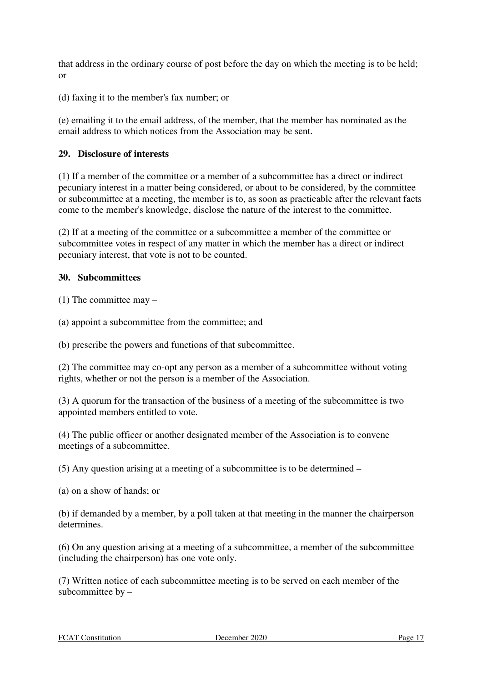that address in the ordinary course of post before the day on which the meeting is to be held; or

(d) faxing it to the member's fax number; or

(e) emailing it to the email address, of the member, that the member has nominated as the email address to which notices from the Association may be sent.

#### **29. Disclosure of interests**

(1) If a member of the committee or a member of a subcommittee has a direct or indirect pecuniary interest in a matter being considered, or about to be considered, by the committee or subcommittee at a meeting, the member is to, as soon as practicable after the relevant facts come to the member's knowledge, disclose the nature of the interest to the committee.

(2) If at a meeting of the committee or a subcommittee a member of the committee or subcommittee votes in respect of any matter in which the member has a direct or indirect pecuniary interest, that vote is not to be counted.

#### **30. Subcommittees**

 $(1)$  The committee may –

(a) appoint a subcommittee from the committee; and

(b) prescribe the powers and functions of that subcommittee.

(2) The committee may co-opt any person as a member of a subcommittee without voting rights, whether or not the person is a member of the Association.

(3) A quorum for the transaction of the business of a meeting of the subcommittee is two appointed members entitled to vote.

(4) The public officer or another designated member of the Association is to convene meetings of a subcommittee.

(5) Any question arising at a meeting of a subcommittee is to be determined –

(a) on a show of hands; or

(b) if demanded by a member, by a poll taken at that meeting in the manner the chairperson determines.

(6) On any question arising at a meeting of a subcommittee, a member of the subcommittee (including the chairperson) has one vote only.

(7) Written notice of each subcommittee meeting is to be served on each member of the subcommittee by –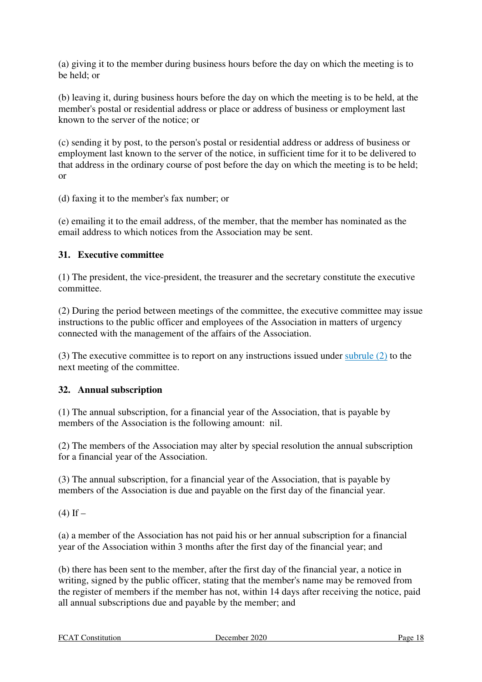(a) giving it to the member during business hours before the day on which the meeting is to be held; or

(b) leaving it, during business hours before the day on which the meeting is to be held, at the member's postal or residential address or place or address of business or employment last known to the server of the notice; or

(c) sending it by post, to the person's postal or residential address or address of business or employment last known to the server of the notice, in sufficient time for it to be delivered to that address in the ordinary course of post before the day on which the meeting is to be held; or

(d) faxing it to the member's fax number; or

(e) emailing it to the email address, of the member, that the member has nominated as the email address to which notices from the Association may be sent.

# **31. Executive committee**

(1) The president, the vice-president, the treasurer and the secretary constitute the executive committee.

(2) During the period between meetings of the committee, the executive committee may issue instructions to the public officer and employees of the Association in matters of urgency connected with the management of the affairs of the Association.

(3) The executive committee is to report on any instructions issued under subrule (2) to the next meeting of the committee.

# **32. Annual subscription**

(1) The annual subscription, for a financial year of the Association, that is payable by members of the Association is the following amount: nil.

(2) The members of the Association may alter by special resolution the annual subscription for a financial year of the Association.

(3) The annual subscription, for a financial year of the Association, that is payable by members of the Association is due and payable on the first day of the financial year.

 $(4)$  If  $-$ 

(a) a member of the Association has not paid his or her annual subscription for a financial year of the Association within 3 months after the first day of the financial year; and

(b) there has been sent to the member, after the first day of the financial year, a notice in writing, signed by the public officer, stating that the member's name may be removed from the register of members if the member has not, within 14 days after receiving the notice, paid all annual subscriptions due and payable by the member; and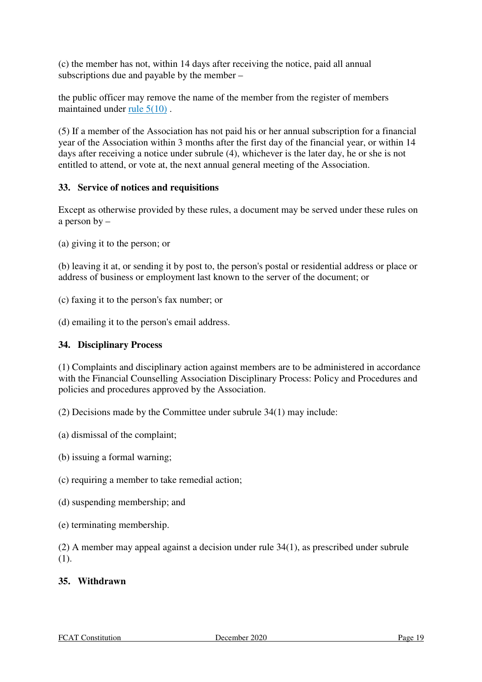(c) the member has not, within 14 days after receiving the notice, paid all annual subscriptions due and payable by the member –

the public officer may remove the name of the member from the register of members maintained under rule 5(10) .

(5) If a member of the Association has not paid his or her annual subscription for a financial year of the Association within 3 months after the first day of the financial year, or within 14 days after receiving a notice under subrule (4), whichever is the later day, he or she is not entitled to attend, or vote at, the next annual general meeting of the Association.

# **33. Service of notices and requisitions**

Except as otherwise provided by these rules, a document may be served under these rules on a person by –

(a) giving it to the person; or

(b) leaving it at, or sending it by post to, the person's postal or residential address or place or address of business or employment last known to the server of the document; or

(c) faxing it to the person's fax number; or

(d) emailing it to the person's email address.

### **34. Disciplinary Process**

(1) Complaints and disciplinary action against members are to be administered in accordance with the Financial Counselling Association Disciplinary Process: Policy and Procedures and policies and procedures approved by the Association.

(2) Decisions made by the Committee under subrule 34(1) may include:

(a) dismissal of the complaint;

(b) issuing a formal warning;

(c) requiring a member to take remedial action;

(d) suspending membership; and

(e) terminating membership.

(2) A member may appeal against a decision under rule 34(1), as prescribed under subrule (1).

# **35. Withdrawn**